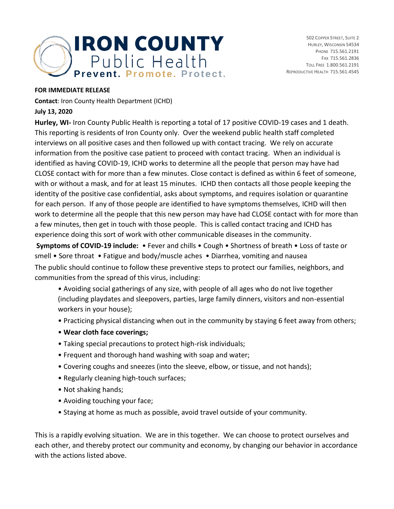

502 COPPER STREET, SUITE 2 HURLEY, WISCONSIN 54534 PHONE 715.561.2191 FAX 715.561.2836 TOLL FREE 1.800.561.2191 REPRODUCTIVE HEALTH 715.561.4545

## **FOR IMMEDIATE RELEASE**

**Contact**: Iron County Health Department (ICHD)

## **July 13, 2020**

**Hurley, WI-** Iron County Public Health is reporting a total of 17 positive COVID-19 cases and 1 death. This reporting is residents of Iron County only. Over the weekend public health staff completed interviews on all positive cases and then followed up with contact tracing. We rely on accurate information from the positive case patient to proceed with contact tracing. When an individual is identified as having COVID-19, ICHD works to determine all the people that person may have had CLOSE contact with for more than a few minutes. Close contact is defined as within 6 feet of someone, with or without a mask, and for at least 15 minutes. ICHD then contacts all those people keeping the identity of the positive case confidential, asks about symptoms, and requires isolation or quarantine for each person. If any of those people are identified to have symptoms themselves, ICHD will then work to determine all the people that this new person may have had CLOSE contact with for more than a few minutes, then get in touch with those people. This is called contact tracing and ICHD has experience doing this sort of work with other communicable diseases in the community.

**Symptoms of COVID-19 include:** • Fever and chills • Cough • Shortness of breath • Loss of taste or smell • Sore throat • Fatigue and body/muscle aches • Diarrhea, vomiting and nausea The public should continue to follow these preventive steps to protect our families, neighbors, and communities from the spread of this virus, including:

- Avoiding social gatherings of any size, with people of all ages who do not live together (including playdates and sleepovers, parties, large family dinners, visitors and non-essential workers in your house);
- Practicing physical distancing when out in the community by staying 6 feet away from others;
- **Wear cloth face coverings;**
- Taking special precautions to protect high-risk individuals;
- Frequent and thorough hand washing with soap and water;
- Covering coughs and sneezes (into the sleeve, elbow, or tissue, and not hands);
- Regularly cleaning high-touch surfaces;
- Not shaking hands;
- Avoiding touching your face;
- Staying at home as much as possible, avoid travel outside of your community.

This is a rapidly evolving situation. We are in this together. We can choose to protect ourselves and each other, and thereby protect our community and economy, by changing our behavior in accordance with the actions listed above.